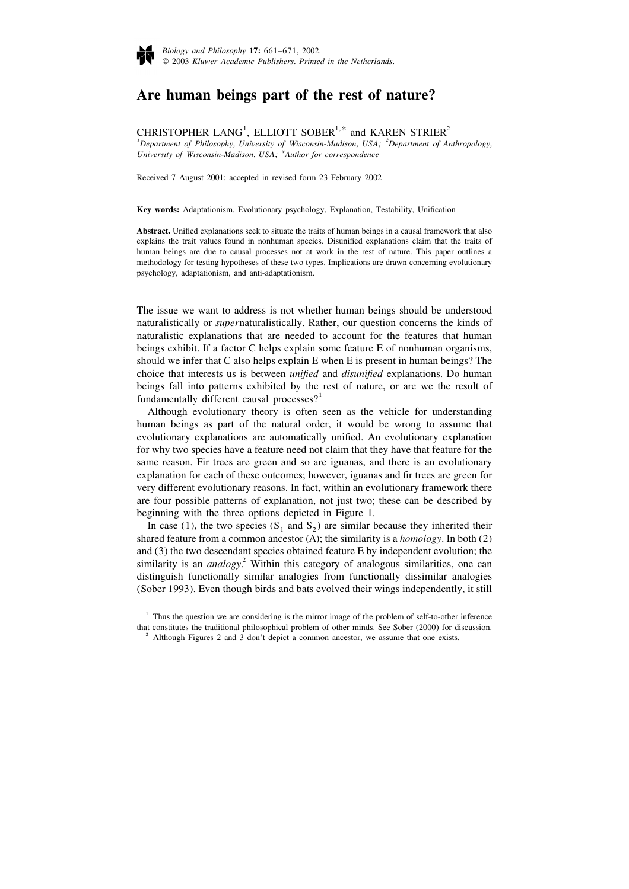

## **Are human beings part of the rest of nature?**

CHRISTOPHER LANG<sup>1</sup>, ELLIOTT SOBER<sup>1,\*</sup> and KAREN STRIER<sup>2</sup>

<sup>1</sup> <sup>2</sup> *Department of Philosophy*, *University of Wisconsin*-*Madison*, *USA*; *Department of Anthropology*, *University of Wisconsin*-*Madison*, *USA*; \**Author for correspondence*

Received 7 August 2001; accepted in revised form 23 February 2002

**Key words:** Adaptationism, Evolutionary psychology, Explanation, Testability, Unification

**Abstract.** Unified explanations seek to situate the traits of human beings in a causal framework that also explains the trait values found in nonhuman species. Disunified explanations claim that the traits of human beings are due to causal processes not at work in the rest of nature. This paper outlines a methodology for testing hypotheses of these two types. Implications are drawn concerning evolutionary psychology, adaptationism, and anti-adaptationism.

The issue we want to address is not whether human beings should be understood naturalistically or *super*naturalistically. Rather, our question concerns the kinds of naturalistic explanations that are needed to account for the features that human beings exhibit. If a factor C helps explain some feature E of nonhuman organisms, should we infer that C also helps explain E when E is present in human beings? The choice that interests us is between *unified* and *disunified* explanations. Do human beings fall into patterns exhibited by the rest of nature, or are we the result of fundamentally different causal processes?<sup>1</sup>

Although evolutionary theory is often seen as the vehicle for understanding human beings as part of the natural order, it would be wrong to assume that evolutionary explanations are automatically unified. An evolutionary explanation for why two species have a feature need not claim that they have that feature for the same reason. Fir trees are green and so are iguanas, and there is an evolutionary explanation for each of these outcomes; however, iguanas and fir trees are green for very different evolutionary reasons. In fact, within an evolutionary framework there are four possible patterns of explanation, not just two; these can be described by beginning with the three options depicted in Figure 1.

In case (1), the two species  $(S_1 \text{ and } S_2)$  are similar because they inherited their shared feature from a common ancestor (A); the similarity is a *homology*. In both (2) and (3) the two descendant species obtained feature E by independent evolution; the similarity is an *analogy*. Within this category of analogous similarities, one can distinguish functionally similar analogies from functionally dissimilar analogies (Sober 1993). Even though birds and bats evolved their wings independently, it still

<sup>&</sup>lt;sup>1</sup> Thus the question we are considering is the mirror image of the problem of self-to-other inference that constitutes the traditional philosophical problem of other minds. See Sober (2000) for discussion.

<sup>2</sup> Although Figures 2 and 3 don't depict a common ancestor, we assume that one exists.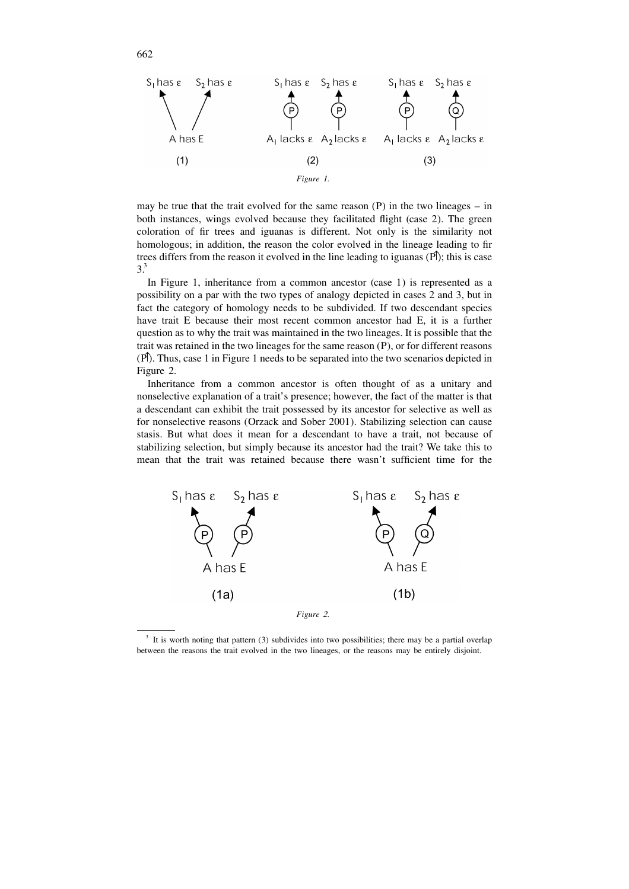

may be true that the trait evolved for the same reason (P) in the two lineages – in both instances, wings evolved because they facilitated flight (case 2). The green coloration of fir trees and iguanas is different. Not only is the similarity not homologous; in addition, the reason the color evolved in the lineage leading to fir trees differs from the reason it evolved in the line leading to iguanas (P); this is case  $3<sup>3</sup>$ .

In Figure 1, inheritance from a common ancestor (case 1) is represented as a possibility on a par with the two types of analogy depicted in cases 2 and 3, but in fact the category of homology needs to be subdivided. If two descendant species have trait E because their most recent common ancestor had E, it is a further question as to why the trait was maintained in the two lineages. It is possible that the trait was retained in the two lineages for the same reason (P), or for different reasons (P↑). Thus, case 1 in Figure 1 needs to be separated into the two scenarios depicted in Figure 2.

Inheritance from a common ancestor is often thought of as a unitary and nonselective explanation of a trait's presence; however, the fact of the matter is that a descendant can exhibit the trait possessed by its ancestor for selective as well as for nonselective reasons (Orzack and Sober 2001). Stabilizing selection can cause stasis. But what does it mean for a descendant to have a trait, not because of stabilizing selection, but simply because its ancestor had the trait? We take this to mean that the trait was retained because there wasn't sufficient time for the



It is worth noting that pattern (3) subdivides into two possibilities; there may be a partial overlap between the reasons the trait evolved in the two lineages, or the reasons may be entirely disjoint.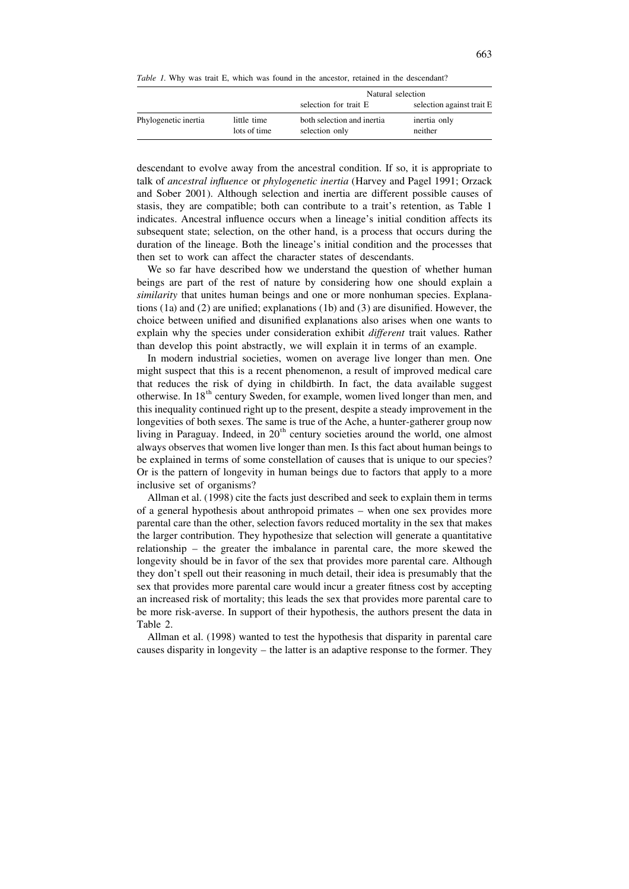*Table* 1. Why was trait E, which was found in the ancestor, retained in the descendant?

|                      |                             | Natural selection                            |                           |
|----------------------|-----------------------------|----------------------------------------------|---------------------------|
|                      |                             | selection for trait E                        | selection against trait E |
| Phylogenetic inertia | little time<br>lots of time | both selection and inertia<br>selection only | inertia only<br>neither   |

descendant to evolve away from the ancestral condition. If so, it is appropriate to talk of *ancestral influence* or *phylogenetic inertia* (Harvey and Pagel 1991; Orzack and Sober 2001). Although selection and inertia are different possible causes of stasis, they are compatible; both can contribute to a trait's retention, as Table 1 indicates. Ancestral influence occurs when a lineage's initial condition affects its subsequent state; selection, on the other hand, is a process that occurs during the duration of the lineage. Both the lineage's initial condition and the processes that then set to work can affect the character states of descendants.

We so far have described how we understand the question of whether human beings are part of the rest of nature by considering how one should explain a *similarity* that unites human beings and one or more nonhuman species. Explanations (1a) and (2) are unified; explanations (1b) and (3) are disunified. However, the choice between unified and disunified explanations also arises when one wants to explain why the species under consideration exhibit *different* trait values. Rather than develop this point abstractly, we will explain it in terms of an example.

In modern industrial societies, women on average live longer than men. One might suspect that this is a recent phenomenon, a result of improved medical care that reduces the risk of dying in childbirth. In fact, the data available suggest otherwise. In  $18<sup>th</sup>$  century Sweden, for example, women lived longer than men, and this inequality continued right up to the present, despite a steady improvement in the longevities of both sexes. The same is true of the Ache, a hunter-gatherer group now living in Paraguay. Indeed, in 20<sup>th</sup> century societies around the world, one almost always observes that women live longer than men. Is this fact about human beings to be explained in terms of some constellation of causes that is unique to our species? Or is the pattern of longevity in human beings due to factors that apply to a more inclusive set of organisms?

Allman et al. (1998) cite the facts just described and seek to explain them in terms of a general hypothesis about anthropoid primates – when one sex provides more parental care than the other, selection favors reduced mortality in the sex that makes the larger contribution. They hypothesize that selection will generate a quantitative relationship – the greater the imbalance in parental care, the more skewed the longevity should be in favor of the sex that provides more parental care. Although they don't spell out their reasoning in much detail, their idea is presumably that the sex that provides more parental care would incur a greater fitness cost by accepting an increased risk of mortality; this leads the sex that provides more parental care to be more risk-averse. In support of their hypothesis, the authors present the data in Table 2.

Allman et al. (1998) wanted to test the hypothesis that disparity in parental care causes disparity in longevity – the latter is an adaptive response to the former. They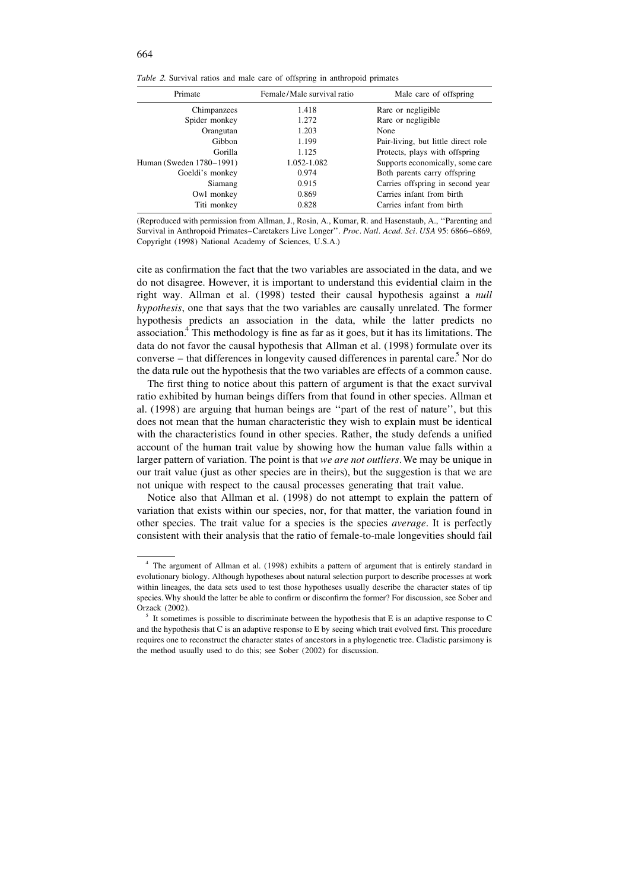*Table 2.* Survival ratios and male care of offspring in anthropoid primates

| Primate                  | Female/Male survival ratio | Male care of offspring              |
|--------------------------|----------------------------|-------------------------------------|
| Chimpanzees              | 1.418                      | Rare or negligible                  |
| Spider monkey            | 1.272                      | Rare or negligible                  |
| Orangutan                | 1.203                      | None                                |
| Gibbon                   | 1.199                      | Pair-living, but little direct role |
| Gorilla                  | 1.125                      | Protects, plays with offspring      |
| Human (Sweden 1780–1991) | 1.052-1.082                | Supports economically, some care    |
| Goeldi's monkey          | 0.974                      | Both parents carry offspring        |
| Siamang                  | 0.915                      | Carries offspring in second year    |
| Owl monkey               | 0.869                      | Carries infant from hirth           |
| Titi monkey              | 0.828                      | Carries infant from birth           |

(Reproduced with permission from Allman, J., Rosin, A., Kumar, R. and Hasenstaub, A., ''Parenting and Survival in Anthropoid Primates–Caretakers Live Longer''. *Proc*. *Natl*. *Acad*. *Sci*. *USA* 95: 6866–6869, Copyright (1998) National Academy of Sciences, U.S.A.)

cite as confirmation the fact that the two variables are associated in the data, and we do not disagree. However, it is important to understand this evidential claim in the right way. Allman et al. (1998) tested their causal hypothesis against a *null hypothesis*, one that says that the two variables are causally unrelated. The former hypothesis predicts an association in the data, while the latter predicts no association.<sup>4</sup> This methodology is fine as far as it goes, but it has its limitations. The data do not favor the causal hypothesis that Allman et al. (1998) formulate over its converse – that differences in longevity caused differences in parental care.<sup>5</sup> Nor do the data rule out the hypothesis that the two variables are effects of a common cause.

The first thing to notice about this pattern of argument is that the exact survival ratio exhibited by human beings differs from that found in other species. Allman et al. (1998) are arguing that human beings are ''part of the rest of nature'', but this does not mean that the human characteristic they wish to explain must be identical with the characteristics found in other species. Rather, the study defends a unified account of the human trait value by showing how the human value falls within a larger pattern of variation. The point is that *we are not outliers*.We may be unique in our trait value (just as other species are in theirs), but the suggestion is that we are not unique with respect to the causal processes generating that trait value.

Notice also that Allman et al. (1998) do not attempt to explain the pattern of variation that exists within our species, nor, for that matter, the variation found in other species. The trait value for a species is the species *average*. It is perfectly consistent with their analysis that the ratio of female-to-male longevities should fail

<sup>4</sup> The argument of Allman et al. (1998) exhibits a pattern of argument that is entirely standard in evolutionary biology. Although hypotheses about natural selection purport to describe processes at work within lineages, the data sets used to test those hypotheses usually describe the character states of tip species. Why should the latter be able to confirm or disconfirm the former? For discussion, see Sober and Orzack (2002).

 $5$  It sometimes is possible to discriminate between the hypothesis that E is an adaptive response to C and the hypothesis that C is an adaptive response to E by seeing which trait evolved first. This procedure requires one to reconstruct the character states of ancestors in a phylogenetic tree. Cladistic parsimony is the method usually used to do this; see Sober (2002) for discussion.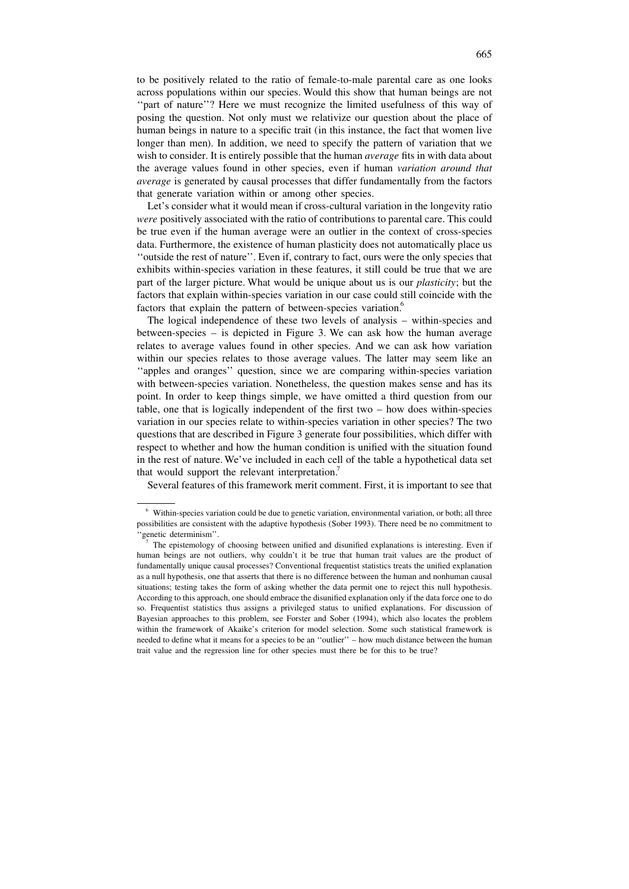to be positively related to the ratio of female-to-male parental care as one looks across populations within our species. Would this show that human beings are not ''part of nature''? Here we must recognize the limited usefulness of this way of posing the question. Not only must we relativize our question about the place of human beings in nature to a specific trait (in this instance, the fact that women live longer than men). In addition, we need to specify the pattern of variation that we wish to consider. It is entirely possible that the human *average* fits in with data about the average values found in other species, even if human *variation around that average* is generated by causal processes that differ fundamentally from the factors that generate variation within or among other species.

Let's consider what it would mean if cross-cultural variation in the longevity ratio *were* positively associated with the ratio of contributions to parental care. This could be true even if the human average were an outlier in the context of cross-species data. Furthermore, the existence of human plasticity does not automatically place us ''outside the rest of nature''. Even if, contrary to fact, ours were the only species that exhibits within-species variation in these features, it still could be true that we are part of the larger picture. What would be unique about us is our *plasticity*; but the factors that explain within-species variation in our case could still coincide with the factors that explain the pattern of between-species variation.<sup>6</sup>

The logical independence of these two levels of analysis – within-species and between-species – is depicted in Figure 3. We can ask how the human average relates to average values found in other species. And we can ask how variation within our species relates to those average values. The latter may seem like an ''apples and oranges'' question, since we are comparing within-species variation with between-species variation. Nonetheless, the question makes sense and has its point. In order to keep things simple, we have omitted a third question from our table, one that is logically independent of the first two – how does within-species variation in our species relate to within-species variation in other species? The two questions that are described in Figure 3 generate four possibilities, which differ with respect to whether and how the human condition is unified with the situation found in the rest of nature. We've included in each cell of the table a hypothetical data set that would support the relevant interpretation.<sup>7</sup>

Several features of this framework merit comment. First, it is important to see that

<sup>6</sup> Within-species variation could be due to genetic variation, environmental variation, or both; all three possibilities are consistent with the adaptive hypothesis (Sober 1993). There need be no commitment to 'genetic determinism''.

<sup>7</sup> The epistemology of choosing between unified and disunified explanations is interesting. Even if human beings are not outliers, why couldn't it be true that human trait values are the product of fundamentally unique causal processes? Conventional frequentist statistics treats the unified explanation as a null hypothesis, one that asserts that there is no difference between the human and nonhuman causal situations; testing takes the form of asking whether the data permit one to reject this null hypothesis. According to this approach, one should embrace the disunified explanation only if the data force one to do so. Frequentist statistics thus assigns a privileged status to unified explanations. For discussion of Bayesian approaches to this problem, see Forster and Sober (1994), which also locates the problem within the framework of Akaike's criterion for model selection. Some such statistical framework is needed to define what it means for a species to be an ''outlier'' – how much distance between the human trait value and the regression line for other species must there be for this to be true?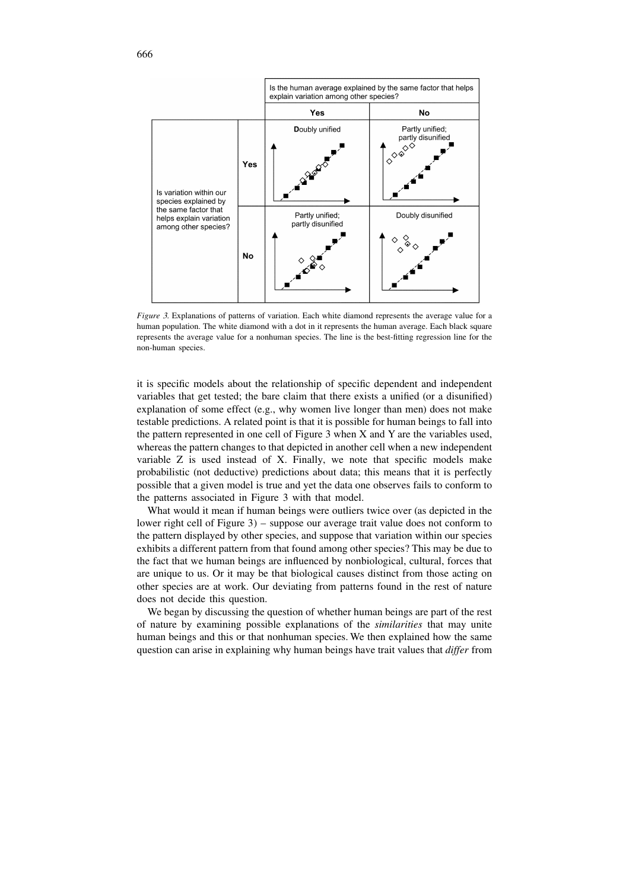

*Figure* 3. Explanations of patterns of variation. Each white diamond represents the average value for a human population. The white diamond with a dot in it represents the human average. Each black square represents the average value for a nonhuman species. The line is the best-fitting regression line for the non-human species.

it is specific models about the relationship of specific dependent and independent variables that get tested; the bare claim that there exists a unified (or a disunified) explanation of some effect (e.g., why women live longer than men) does not make testable predictions. A related point is that it is possible for human beings to fall into the pattern represented in one cell of Figure 3 when X and Y are the variables used, whereas the pattern changes to that depicted in another cell when a new independent variable Z is used instead of X. Finally, we note that specific models make probabilistic (not deductive) predictions about data; this means that it is perfectly possible that a given model is true and yet the data one observes fails to conform to the patterns associated in Figure 3 with that model.

What would it mean if human beings were outliers twice over (as depicted in the lower right cell of Figure 3) – suppose our average trait value does not conform to the pattern displayed by other species, and suppose that variation within our species exhibits a different pattern from that found among other species? This may be due to the fact that we human beings are influenced by nonbiological, cultural, forces that are unique to us. Or it may be that biological causes distinct from those acting on other species are at work. Our deviating from patterns found in the rest of nature does not decide this question.

We began by discussing the question of whether human beings are part of the rest of nature by examining possible explanations of the *similarities* that may unite human beings and this or that nonhuman species. We then explained how the same question can arise in explaining why human beings have trait values that *differ* from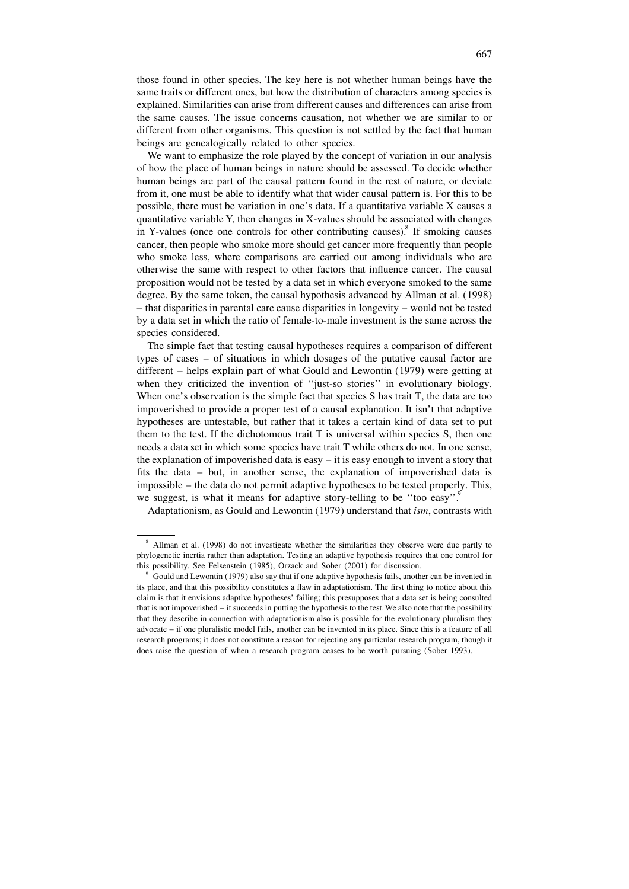those found in other species. The key here is not whether human beings have the same traits or different ones, but how the distribution of characters among species is explained. Similarities can arise from different causes and differences can arise from the same causes. The issue concerns causation, not whether we are similar to or different from other organisms. This question is not settled by the fact that human beings are genealogically related to other species.

We want to emphasize the role played by the concept of variation in our analysis of how the place of human beings in nature should be assessed. To decide whether human beings are part of the causal pattern found in the rest of nature, or deviate from it, one must be able to identify what that wider causal pattern is. For this to be possible, there must be variation in one's data. If a quantitative variable X causes a quantitative variable Y, then changes in X-values should be associated with changes in Y-values (once one controls for other contributing causes).<sup>8</sup> If smoking causes cancer, then people who smoke more should get cancer more frequently than people who smoke less, where comparisons are carried out among individuals who are otherwise the same with respect to other factors that influence cancer. The causal proposition would not be tested by a data set in which everyone smoked to the same degree. By the same token, the causal hypothesis advanced by Allman et al. (1998) – that disparities in parental care cause disparities in longevity – would not be tested by a data set in which the ratio of female-to-male investment is the same across the species considered.

The simple fact that testing causal hypotheses requires a comparison of different types of cases – of situations in which dosages of the putative causal factor are different – helps explain part of what Gould and Lewontin (1979) were getting at when they criticized the invention of ''just-so stories'' in evolutionary biology. When one's observation is the simple fact that species S has trait T, the data are too impoverished to provide a proper test of a causal explanation. It isn't that adaptive hypotheses are untestable, but rather that it takes a certain kind of data set to put them to the test. If the dichotomous trait T is universal within species S, then one needs a data set in which some species have trait T while others do not. In one sense, the explanation of impoverished data is easy  $-$  it is easy enough to invent a story that fits the data – but, in another sense, the explanation of impoverished data is impossible – the data do not permit adaptive hypotheses to be tested properly. This, we suggest, is what it means for adaptive story-telling to be "too easy".

Adaptationism, as Gould and Lewontin (1979) understand that *ism*, contrasts with

<sup>&</sup>lt;sup>8</sup> Allman et al. (1998) do not investigate whether the similarities they observe were due partly to phylogenetic inertia rather than adaptation. Testing an adaptive hypothesis requires that one control for this possibility. See Felsenstein (1985), Orzack and Sober (2001) for discussion.

<sup>9</sup> Gould and Lewontin (1979) also say that if one adaptive hypothesis fails, another can be invented in its place, and that this possibility constitutes a flaw in adaptationism. The first thing to notice about this claim is that it envisions adaptive hypotheses' failing; this presupposes that a data set is being consulted that is not impoverished – it succeeds in putting the hypothesis to the test.We also note that the possibility that they describe in connection with adaptationism also is possible for the evolutionary pluralism they advocate – if one pluralistic model fails, another can be invented in its place. Since this is a feature of all research programs; it does not constitute a reason for rejecting any particular research program, though it does raise the question of when a research program ceases to be worth pursuing (Sober 1993).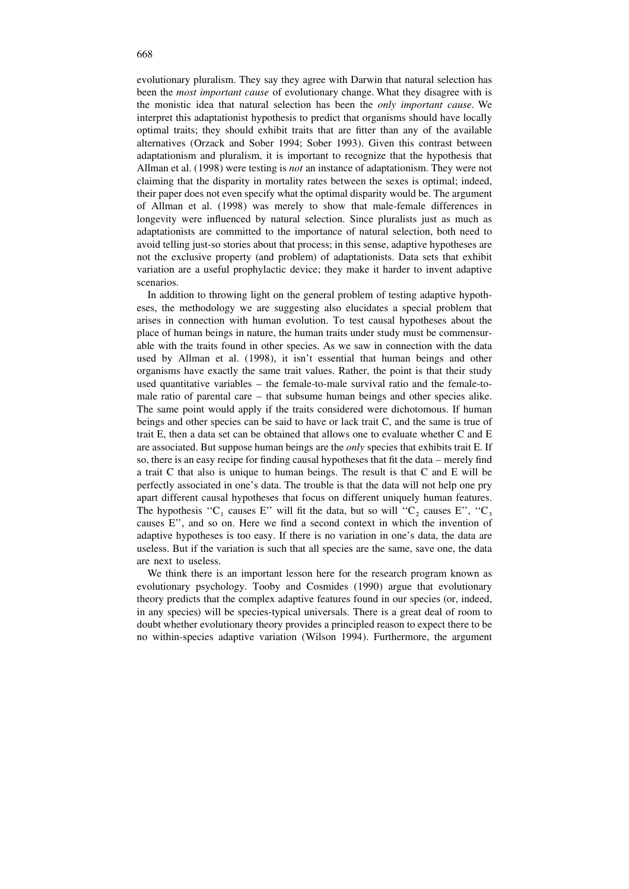evolutionary pluralism. They say they agree with Darwin that natural selection has been the *most important cause* of evolutionary change. What they disagree with is the monistic idea that natural selection has been the *only important cause*. We interpret this adaptationist hypothesis to predict that organisms should have locally optimal traits; they should exhibit traits that are fitter than any of the available alternatives (Orzack and Sober 1994; Sober 1993). Given this contrast between adaptationism and pluralism, it is important to recognize that the hypothesis that Allman et al. (1998) were testing is *not* an instance of adaptationism. They were not claiming that the disparity in mortality rates between the sexes is optimal; indeed, their paper does not even specify what the optimal disparity would be. The argument of Allman et al. (1998) was merely to show that male-female differences in longevity were influenced by natural selection. Since pluralists just as much as adaptationists are committed to the importance of natural selection, both need to avoid telling just-so stories about that process; in this sense, adaptive hypotheses are not the exclusive property (and problem) of adaptationists. Data sets that exhibit variation are a useful prophylactic device; they make it harder to invent adaptive scenarios.

In addition to throwing light on the general problem of testing adaptive hypotheses, the methodology we are suggesting also elucidates a special problem that arises in connection with human evolution. To test causal hypotheses about the place of human beings in nature, the human traits under study must be commensurable with the traits found in other species. As we saw in connection with the data used by Allman et al. (1998), it isn't essential that human beings and other organisms have exactly the same trait values. Rather, the point is that their study used quantitative variables – the female-to-male survival ratio and the female-tomale ratio of parental care – that subsume human beings and other species alike. The same point would apply if the traits considered were dichotomous. If human beings and other species can be said to have or lack trait C, and the same is true of trait E, then a data set can be obtained that allows one to evaluate whether C and E are associated. But suppose human beings are the *only* species that exhibits trait E. If so, there is an easy recipe for finding causal hypotheses that fit the data – merely find a trait C that also is unique to human beings. The result is that C and E will be perfectly associated in one's data. The trouble is that the data will not help one pry apart different causal hypotheses that focus on different uniquely human features. The hypothesis "C<sub>1</sub> causes E" will fit the data, but so will "C<sub>2</sub> causes E", "C<sub>3</sub> causes E'', and so on. Here we find a second context in which the invention of adaptive hypotheses is too easy. If there is no variation in one's data, the data are useless. But if the variation is such that all species are the same, save one, the data are next to useless.

We think there is an important lesson here for the research program known as evolutionary psychology. Tooby and Cosmides (1990) argue that evolutionary theory predicts that the complex adaptive features found in our species (or, indeed, in any species) will be species-typical universals. There is a great deal of room to doubt whether evolutionary theory provides a principled reason to expect there to be no within-species adaptive variation (Wilson 1994). Furthermore, the argument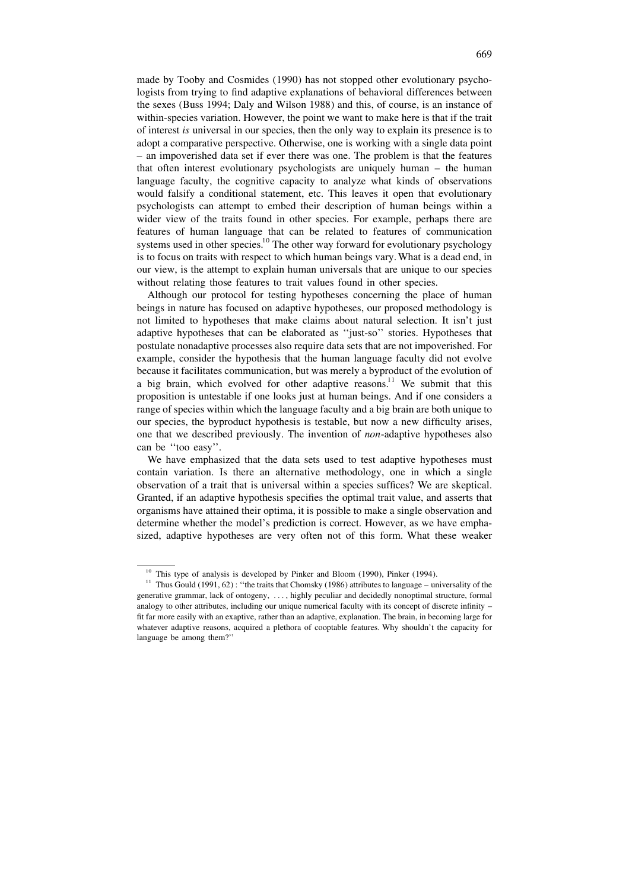made by Tooby and Cosmides (1990) has not stopped other evolutionary psychologists from trying to find adaptive explanations of behavioral differences between the sexes (Buss 1994; Daly and Wilson 1988) and this, of course, is an instance of within-species variation. However, the point we want to make here is that if the trait of interest *is* universal in our species, then the only way to explain its presence is to adopt a comparative perspective. Otherwise, one is working with a single data point – an impoverished data set if ever there was one. The problem is that the features that often interest evolutionary psychologists are uniquely human – the human language faculty, the cognitive capacity to analyze what kinds of observations would falsify a conditional statement, etc. This leaves it open that evolutionary psychologists can attempt to embed their description of human beings within a wider view of the traits found in other species. For example, perhaps there are features of human language that can be related to features of communication systems used in other species. $10$  The other way forward for evolutionary psychology is to focus on traits with respect to which human beings vary. What is a dead end, in our view, is the attempt to explain human universals that are unique to our species without relating those features to trait values found in other species.

Although our protocol for testing hypotheses concerning the place of human beings in nature has focused on adaptive hypotheses, our proposed methodology is not limited to hypotheses that make claims about natural selection. It isn't just adaptive hypotheses that can be elaborated as ''just-so'' stories. Hypotheses that postulate nonadaptive processes also require data sets that are not impoverished. For example, consider the hypothesis that the human language faculty did not evolve because it facilitates communication, but was merely a byproduct of the evolution of a big brain, which evolved for other adaptive reasons.<sup>11</sup> We submit that this proposition is untestable if one looks just at human beings. And if one considers a range of species within which the language faculty and a big brain are both unique to our species, the byproduct hypothesis is testable, but now a new difficulty arises, one that we described previously. The invention of *non*-adaptive hypotheses also can be ''too easy''.

We have emphasized that the data sets used to test adaptive hypotheses must contain variation. Is there an alternative methodology, one in which a single observation of a trait that is universal within a species suffices? We are skeptical. Granted, if an adaptive hypothesis specifies the optimal trait value, and asserts that organisms have attained their optima, it is possible to make a single observation and determine whether the model's prediction is correct. However, as we have emphasized, adaptive hypotheses are very often not of this form. What these weaker

<sup>&</sup>lt;sup>10</sup> This type of analysis is developed by Pinker and Bloom (1990), Pinker (1994).

<sup>&</sup>lt;sup>11</sup> Thus Gould (1991, 62): "the traits that Chomsky (1986) attributes to language – universality of the generative grammar, lack of ontogeny, . . . , highly peculiar and decidedly nonoptimal structure, formal analogy to other attributes, including our unique numerical faculty with its concept of discrete infinity – fit far more easily with an exaptive, rather than an adaptive, explanation. The brain, in becoming large for whatever adaptive reasons, acquired a plethora of cooptable features. Why shouldn't the capacity for language be among them?''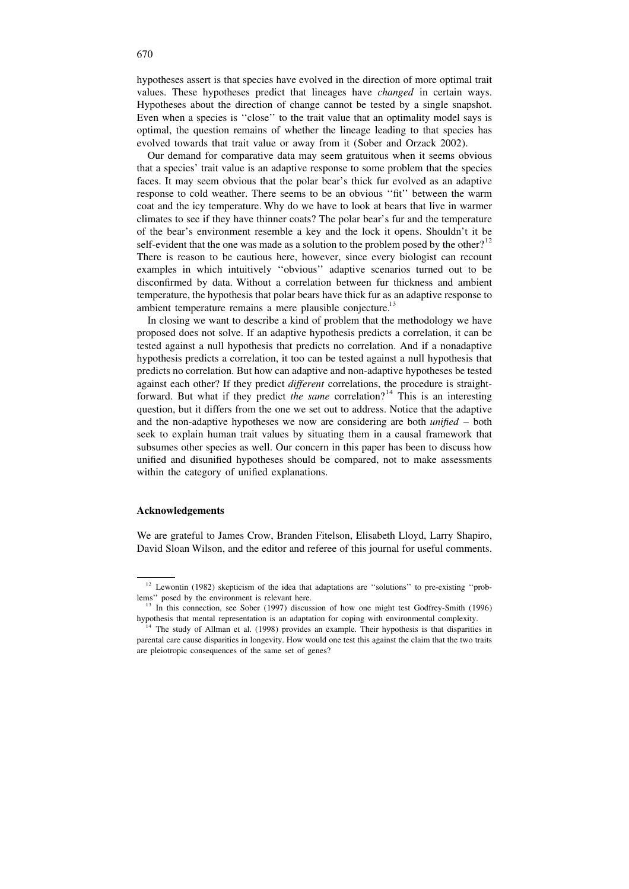hypotheses assert is that species have evolved in the direction of more optimal trait values. These hypotheses predict that lineages have *changed* in certain ways. Hypotheses about the direction of change cannot be tested by a single snapshot. Even when a species is ''close'' to the trait value that an optimality model says is optimal, the question remains of whether the lineage leading to that species has evolved towards that trait value or away from it (Sober and Orzack 2002).

Our demand for comparative data may seem gratuitous when it seems obvious that a species' trait value is an adaptive response to some problem that the species faces. It may seem obvious that the polar bear's thick fur evolved as an adaptive response to cold weather. There seems to be an obvious ''fit'' between the warm coat and the icy temperature. Why do we have to look at bears that live in warmer climates to see if they have thinner coats? The polar bear's fur and the temperature of the bear's environment resemble a key and the lock it opens. Shouldn't it be self-evident that the one was made as a solution to the problem posed by the other?<sup>12</sup> There is reason to be cautious here, however, since every biologist can recount examples in which intuitively ''obvious'' adaptive scenarios turned out to be disconfirmed by data. Without a correlation between fur thickness and ambient temperature, the hypothesis that polar bears have thick fur as an adaptive response to ambient temperature remains a mere plausible conjecture.<sup>13</sup>

In closing we want to describe a kind of problem that the methodology we have proposed does not solve. If an adaptive hypothesis predicts a correlation, it can be tested against a null hypothesis that predicts no correlation. And if a nonadaptive hypothesis predicts a correlation, it too can be tested against a null hypothesis that predicts no correlation. But how can adaptive and non-adaptive hypotheses be tested against each other? If they predict *different* correlations, the procedure is straight-forward. But what if they predict *the same* correlation?<sup>14</sup> This is an interesting question, but it differs from the one we set out to address. Notice that the adaptive and the non-adaptive hypotheses we now are considering are both *unified* – both seek to explain human trait values by situating them in a causal framework that subsumes other species as well. Our concern in this paper has been to discuss how unified and disunified hypotheses should be compared, not to make assessments within the category of unified explanations.

## **Acknowledgements**

We are grateful to James Crow, Branden Fitelson, Elisabeth Lloyd, Larry Shapiro, David Sloan Wilson, and the editor and referee of this journal for useful comments.

<sup>&</sup>lt;sup>12</sup> Lewontin (1982) skepticism of the idea that adaptations are "solutions" to pre-existing "problems'' posed by the environment is relevant here.

<sup>&</sup>lt;sup>13</sup> In this connection, see Sober (1997) discussion of how one might test Godfrey-Smith (1996) hypothesis that mental representation is an adaptation for coping with environmental complexity.

<sup>14</sup> The study of Allman et al. (1998) provides an example. Their hypothesis is that disparities in parental care cause disparities in longevity. How would one test this against the claim that the two traits are pleiotropic consequences of the same set of genes?